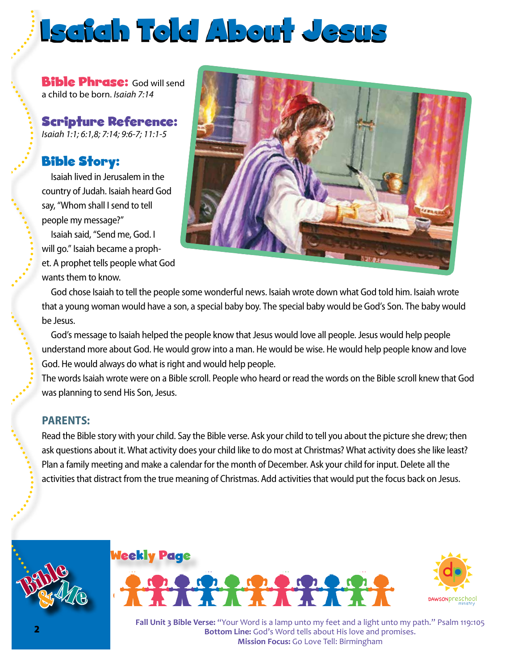## Isaiah Told About Jesus

**Bible Phrase:** God will send a child to be born. *Isaiah 7:14*

Scripture Reference: *Isaiah 1:1; 6:1,8; 7:14; 9:6-7; 11:1-5*

### Bible Story:

Isaiah lived in Jerusalem in the country of Judah. Isaiah heard God say, "Whom shall I send to tell people my message?"

Isaiah said, "Send me, God. I will go." Isaiah became a prophet. A prophet tells people what God wants them to know.



God chose Isaiah to tell the people some wonderful news. Isaiah wrote down what God told him. Isaiah wrote that a young woman would have a son, a special baby boy. The special baby would be God's Son. The baby would be Jesus.

God's message to Isaiah helped the people know that Jesus would love all people. Jesus would help people understand more about God. He would grow into a man. He would be wise. He would help people know and love God. He would always do what is right and would help people.

The words Isaiah wrote were on a Bible scroll. People who heard or read the words on the Bible scroll knew that God was planning to send His Son, Jesus.

### **PARENTS:**

Read the Bible story with your child. Say the Bible verse. Ask your child to tell you about the picture she drew; then ask questions about it. What activity does your child like to do most at Christmas? What activity does she like least? Plan a family meeting and make a calendar for the month of December. Ask your child for input. Delete all the activities that distract from the true meaning of Christmas. Add activities that would put the focus back on Jesus.







**Mission Focus:** Go Love Tell: Birmingham **Fall Unit 3 Bible Verse:** "Your Word is a lamp unto my feet and a light unto my path." Psalm 119:105 **Bottom Line:** God's Word tells about His love and promises.